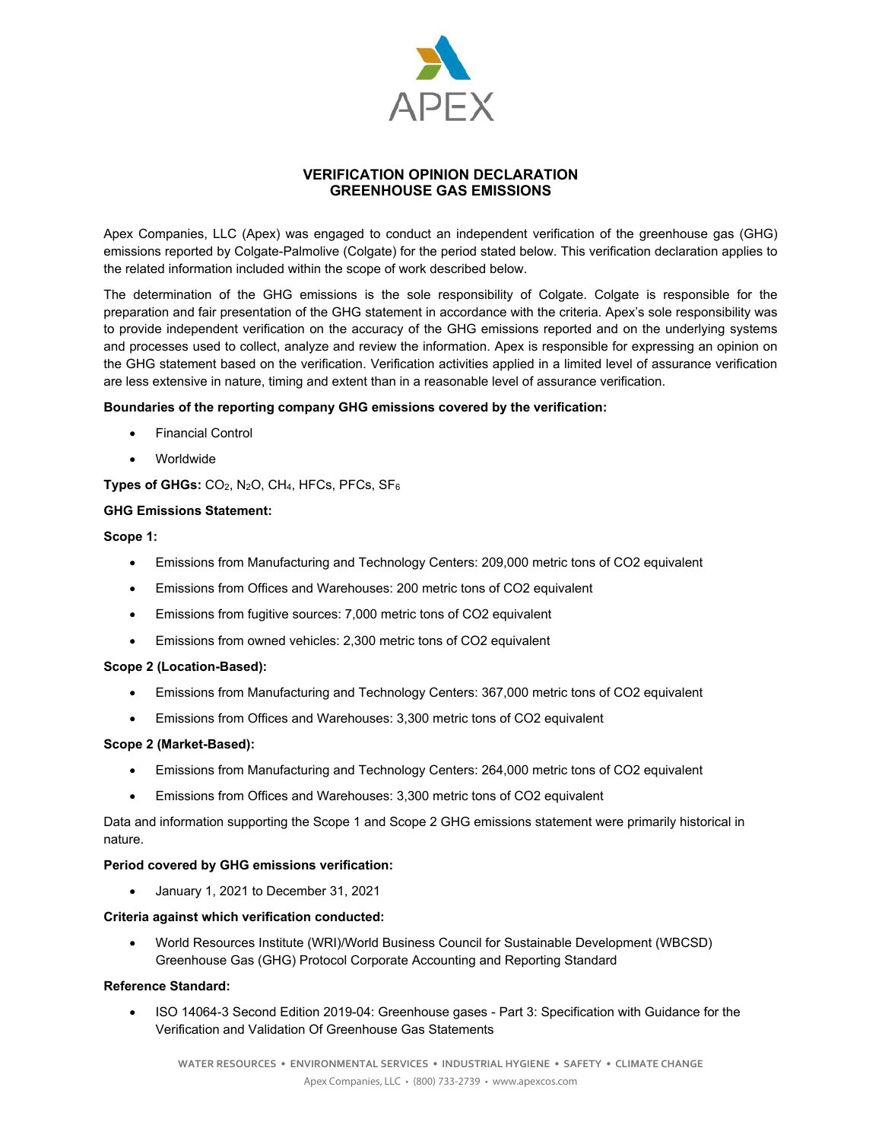

# **VERIFICATION OPINION DECLARATION GREENHOUSE GAS EMISSIONS**

Apex Companies, LLC (Apex) was engaged to conduct an independent verification of the greenhouse gas (GHG) emissions reported by Colgate-Palmolive (Colgate) for the period stated below. This verification declaration applies to the related information included within the scope of work described below.

The determination of the GHG emissions is the sole responsibility of Colgate. Colgate is responsible for the preparation and fair presentation of the GHG statement in accordance with the criteria. Apex's sole responsibility was to provide independent verification on the accuracy of the GHG emissions reported and on the underlying systems and processes used to collect, analyze and review the information. Apex is responsible for expressing an opinion on the GHG statement based on the verification. Verification activities applied in a limited level of assurance verification are less extensive in nature, timing and extent than in a reasonable level of assurance verification.

### **Boundaries of the reporting company GHG emissions covered by the verification:**

- Financial Control
- Worldwide

**Types of GHGs:** CO2, N2O, CH4, HFCs, PFCs, SF6

### **GHG Emissions Statement:**

### **Scope 1:**

- Emissions from Manufacturing and Technology Centers: 209,000 metric tons of CO2 equivalent
- Emissions from Offices and Warehouses: 200 metric tons of CO2 equivalent
- Emissions from fugitive sources: 7,000 metric tons of CO2 equivalent
- Emissions from owned vehicles: 2,300 metric tons of CO2 equivalent

### **Scope 2 (Location-Based):**

- Emissions from Manufacturing and Technology Centers: 367,000 metric tons of CO2 equivalent
- Emissions from Offices and Warehouses: 3,300 metric tons of CO2 equivalent

### **Scope 2 (Market-Based):**

- Emissions from Manufacturing and Technology Centers: 264,000 metric tons of CO2 equivalent
- Emissions from Offices and Warehouses: 3,300 metric tons of CO2 equivalent

Data and information supporting the Scope 1 and Scope 2 GHG emissions statement were primarily historical in nature.

### **Period covered by GHG emissions verification:**

January 1, 2021 to December 31, 2021

### **Criteria against which verification conducted:**

 World Resources Institute (WRI)/World Business Council for Sustainable Development (WBCSD) Greenhouse Gas (GHG) Protocol Corporate Accounting and Reporting Standard

### **Reference Standard:**

 ISO 14064-3 Second Edition 2019-04: Greenhouse gases - Part 3: Specification with Guidance for the Verification and Validation Of Greenhouse Gas Statements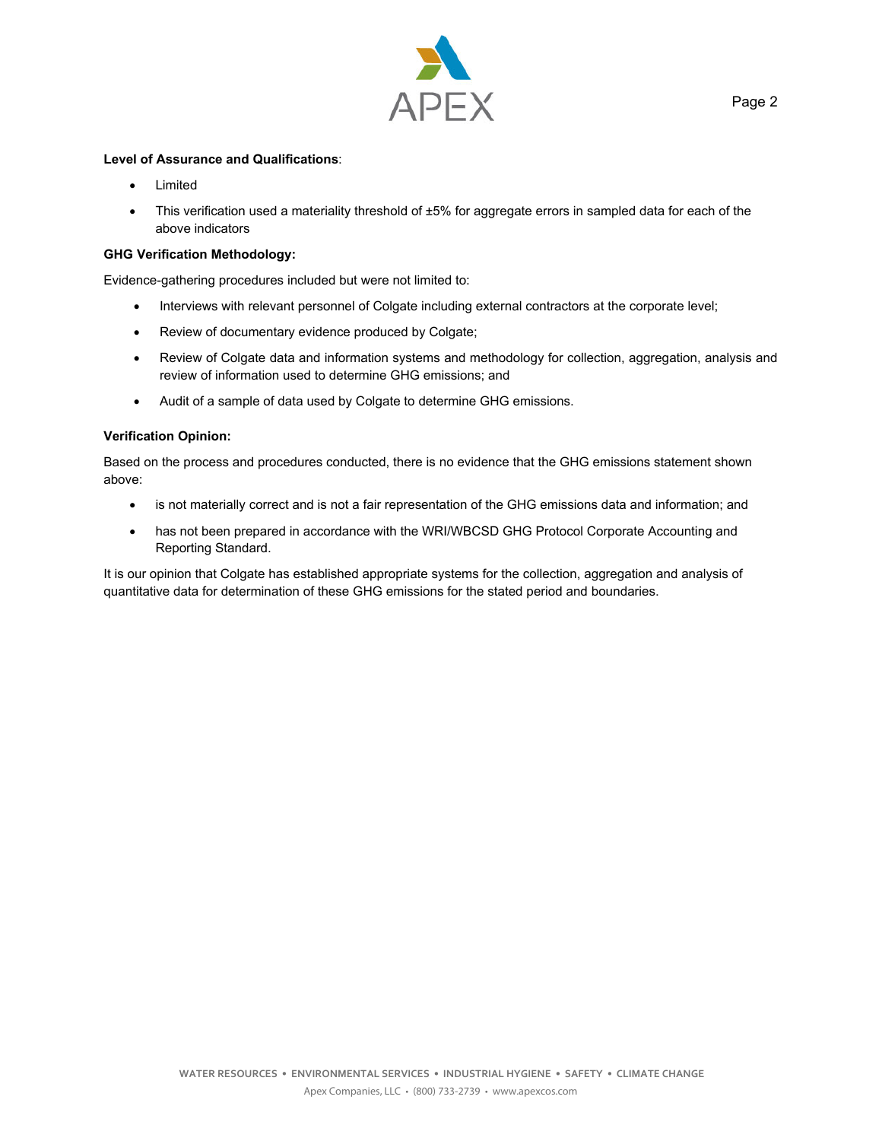

# **Level of Assurance and Qualifications**:

- Limited
- This verification used a materiality threshold of ±5% for aggregate errors in sampled data for each of the above indicators

## **GHG Verification Methodology:**

Evidence-gathering procedures included but were not limited to:

- Interviews with relevant personnel of Colgate including external contractors at the corporate level;
- Review of documentary evidence produced by Colgate;
- Review of Colgate data and information systems and methodology for collection, aggregation, analysis and review of information used to determine GHG emissions; and
- Audit of a sample of data used by Colgate to determine GHG emissions.

### **Verification Opinion:**

Based on the process and procedures conducted, there is no evidence that the GHG emissions statement shown above:

- is not materially correct and is not a fair representation of the GHG emissions data and information; and
- has not been prepared in accordance with the WRI/WBCSD GHG Protocol Corporate Accounting and Reporting Standard.

It is our opinion that Colgate has established appropriate systems for the collection, aggregation and analysis of quantitative data for determination of these GHG emissions for the stated period and boundaries.